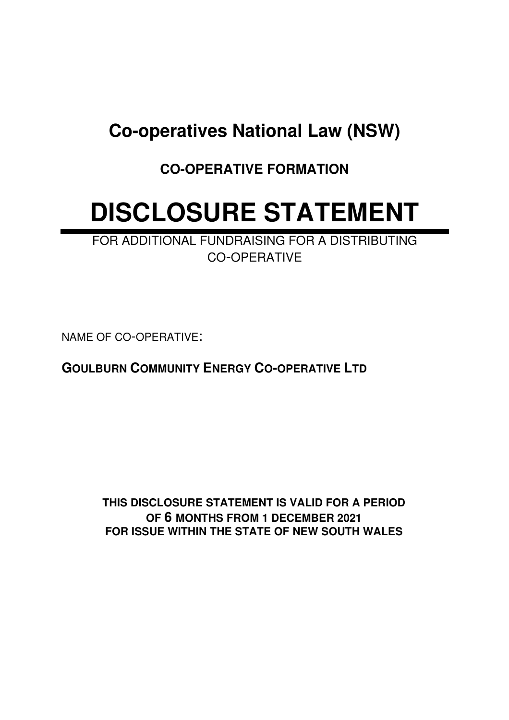## **Co-operatives National Law (NSW)**

**CO-OPERATIVE FORMATION**

# **DISCLOSURE STATEMENT**

FOR ADDITIONAL FUNDRAISING FOR A DISTRIBUTING CO-OPERATIVE

NAME OF CO-OPERATIVE:

**GOULBURN COMMUNITY ENERGY CO-OPERATIVE LTD**

**THIS DISCLOSURE STATEMENT IS VALID FOR A PERIOD OF 6 MONTHS FROM 1 DECEMBER 2021 FOR ISSUE WITHIN THE STATE OF NEW SOUTH WALES**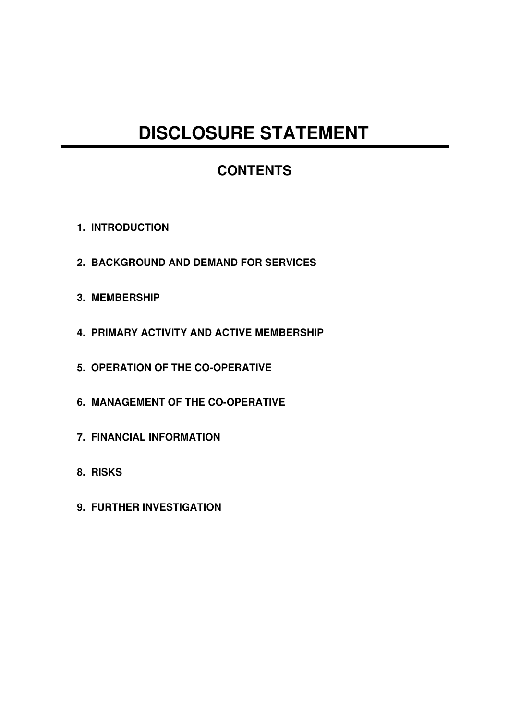## **DISCLOSURE STATEMENT**

### **CONTENTS**

- **1. INTRODUCTION**
- **2. BACKGROUND AND DEMAND FOR SERVICES**
- **3. MEMBERSHIP**
- **4. PRIMARY ACTIVITY AND ACTIVE MEMBERSHIP**
- **5. OPERATION OF THE CO-OPERATIVE**
- **6. MANAGEMENT OF THE CO-OPERATIVE**
- **7. FINANCIAL INFORMATION**
- **8. RISKS**
- **9. FURTHER INVESTIGATION**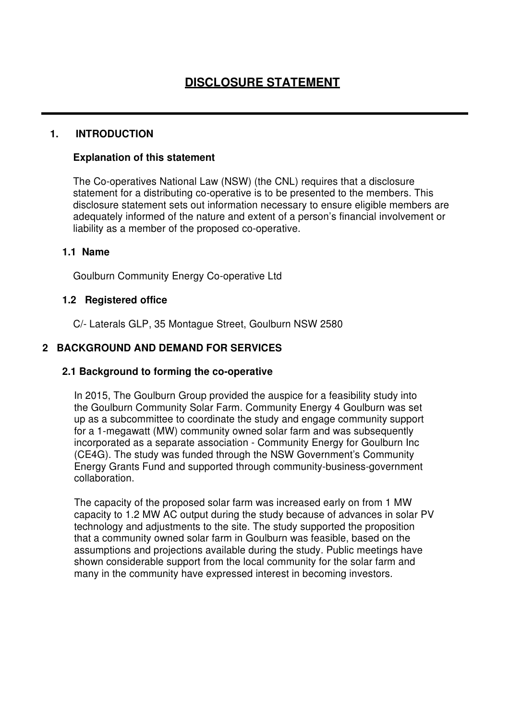#### **1. INTRODUCTION**

#### **Explanation of this statement**

The Co-operatives National Law (NSW) (the CNL) requires that a disclosure statement for a distributing co-operative is to be presented to the members. This disclosure statement sets out information necessary to ensure eligible members are adequately informed of the nature and extent of a person's financial involvement or liability as a member of the proposed co-operative.

#### **1.1 Name**

Goulburn Community Energy Co-operative Ltd

#### **1.2 Registered office**

C/- Laterals GLP, 35 Montague Street, Goulburn NSW 2580

#### **2 BACKGROUND AND DEMAND FOR SERVICES**

#### **2.1 Background to forming the co-operative**

In 2015, The Goulburn Group provided the auspice for a feasibility study into the Goulburn Community Solar Farm. Community Energy 4 Goulburn was set up as a subcommittee to coordinate the study and engage community support for a 1-megawatt (MW) community owned solar farm and was subsequently incorporated as a separate association - Community Energy for Goulburn Inc (CE4G). The study was funded through the NSW Government's Community Energy Grants Fund and supported through community-business-government collaboration.

The capacity of the proposed solar farm was increased early on from 1 MW capacity to 1.2 MW AC output during the study because of advances in solar PV technology and adjustments to the site. The study supported the proposition that a community owned solar farm in Goulburn was feasible, based on the assumptions and projections available during the study. Public meetings have shown considerable support from the local community for the solar farm and many in the community have expressed interest in becoming investors.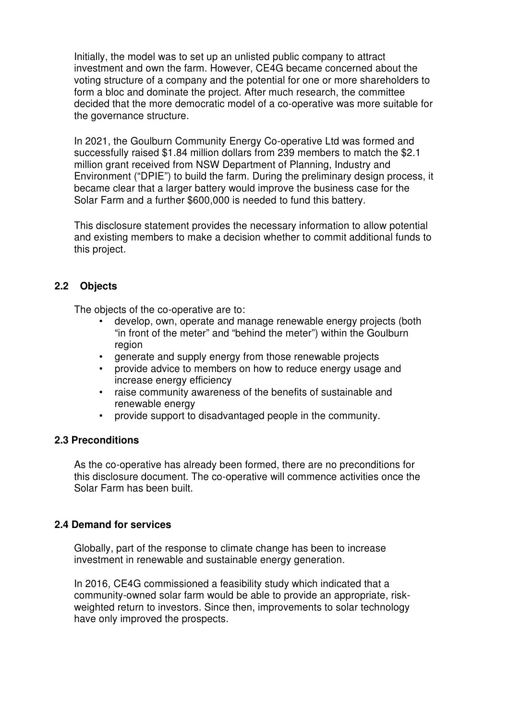Initially, the model was to set up an unlisted public company to attract investment and own the farm. However, CE4G became concerned about the voting structure of a company and the potential for one or more shareholders to form a bloc and dominate the project. After much research, the committee decided that the more democratic model of a co-operative was more suitable for the governance structure.

In 2021, the Goulburn Community Energy Co-operative Ltd was formed and successfully raised \$1.84 million dollars from 239 members to match the \$2.1 million grant received from NSW Department of Planning, Industry and Environment ("DPIE") to build the farm. During the preliminary design process, it became clear that a larger battery would improve the business case for the Solar Farm and a further \$600,000 is needed to fund this battery.

This disclosure statement provides the necessary information to allow potential and existing members to make a decision whether to commit additional funds to this project.

#### **2.2 Objects**

The objects of the co-operative are to:

- develop, own, operate and manage renewable energy projects (both "in front of the meter" and "behind the meter") within the Goulburn region
- generate and supply energy from those renewable projects
- provide advice to members on how to reduce energy usage and increase energy efficiency
- raise community awareness of the benefits of sustainable and renewable energy
- provide support to disadvantaged people in the community.

#### **2.3 Preconditions**

As the co-operative has already been formed, there are no preconditions for this disclosure document. The co-operative will commence activities once the Solar Farm has been built.

#### **2.4 Demand for services**

Globally, part of the response to climate change has been to increase investment in renewable and sustainable energy generation.

In 2016, CE4G commissioned a feasibility study which indicated that a community-owned solar farm would be able to provide an appropriate, riskweighted return to investors. Since then, improvements to solar technology have only improved the prospects.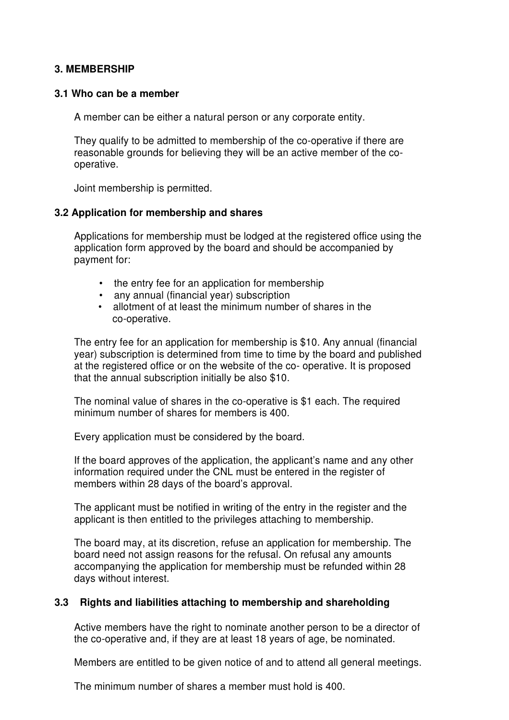#### **3. MEMBERSHIP**

#### **3.1 Who can be a member**

A member can be either a natural person or any corporate entity.

They qualify to be admitted to membership of the co-operative if there are reasonable grounds for believing they will be an active member of the cooperative.

Joint membership is permitted.

#### **3.2 Application for membership and shares**

Applications for membership must be lodged at the registered office using the application form approved by the board and should be accompanied by payment for:

- the entry fee for an application for membership
- any annual (financial year) subscription
- allotment of at least the minimum number of shares in the co-operative.

The entry fee for an application for membership is \$10. Any annual (financial year) subscription is determined from time to time by the board and published at the registered office or on the website of the co- operative. It is proposed that the annual subscription initially be also \$10.

The nominal value of shares in the co-operative is \$1 each. The required minimum number of shares for members is 400.

Every application must be considered by the board.

If the board approves of the application, the applicant's name and any other information required under the CNL must be entered in the register of members within 28 days of the board's approval.

The applicant must be notified in writing of the entry in the register and the applicant is then entitled to the privileges attaching to membership.

The board may, at its discretion, refuse an application for membership. The board need not assign reasons for the refusal. On refusal any amounts accompanying the application for membership must be refunded within 28 days without interest.

#### **3.3 Rights and liabilities attaching to membership and shareholding**

Active members have the right to nominate another person to be a director of the co-operative and, if they are at least 18 years of age, be nominated.

Members are entitled to be given notice of and to attend all general meetings.

The minimum number of shares a member must hold is 400.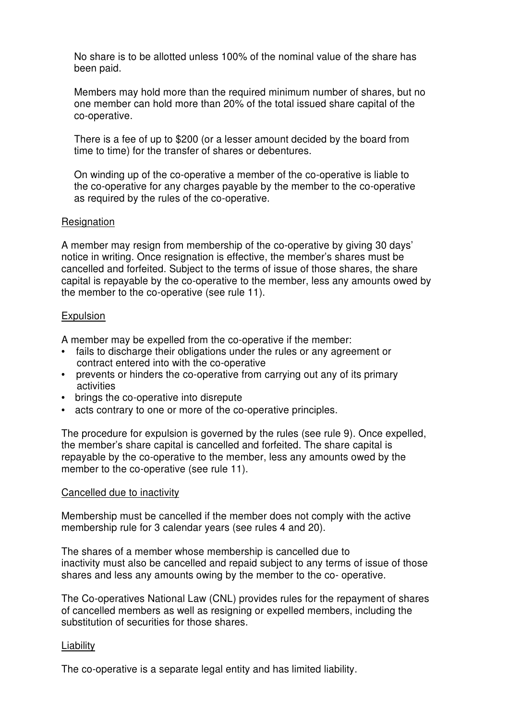No share is to be allotted unless 100% of the nominal value of the share has been paid.

Members may hold more than the required minimum number of shares, but no one member can hold more than 20% of the total issued share capital of the co-operative.

There is a fee of up to \$200 (or a lesser amount decided by the board from time to time) for the transfer of shares or debentures.

On winding up of the co-operative a member of the co-operative is liable to the co-operative for any charges payable by the member to the co-operative as required by the rules of the co-operative.

#### Resignation

A member may resign from membership of the co-operative by giving 30 days' notice in writing. Once resignation is effective, the member's shares must be cancelled and forfeited. Subject to the terms of issue of those shares, the share capital is repayable by the co-operative to the member, less any amounts owed by the member to the co-operative (see rule 11).

#### **Expulsion**

A member may be expelled from the co-operative if the member:

- fails to discharge their obligations under the rules or any agreement or contract entered into with the co-operative
- prevents or hinders the co-operative from carrying out any of its primary activities
- brings the co-operative into disrepute
- acts contrary to one or more of the co-operative principles.

The procedure for expulsion is governed by the rules (see rule 9). Once expelled, the member's share capital is cancelled and forfeited. The share capital is repayable by the co-operative to the member, less any amounts owed by the member to the co-operative (see rule 11).

#### Cancelled due to inactivity

Membership must be cancelled if the member does not comply with the active membership rule for 3 calendar years (see rules 4 and 20).

The shares of a member whose membership is cancelled due to inactivity must also be cancelled and repaid subject to any terms of issue of those shares and less any amounts owing by the member to the co- operative.

The Co-operatives National Law (CNL) provides rules for the repayment of shares of cancelled members as well as resigning or expelled members, including the substitution of securities for those shares.

#### Liability

The co-operative is a separate legal entity and has limited liability.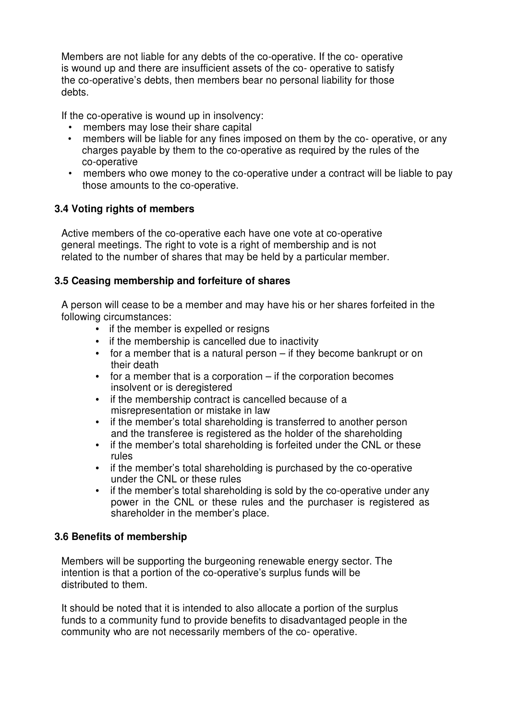Members are not liable for any debts of the co-operative. If the co- operative is wound up and there are insufficient assets of the co- operative to satisfy the co-operative's debts, then members bear no personal liability for those debts.

If the co-operative is wound up in insolvency:

- members may lose their share capital
- members will be liable for any fines imposed on them by the co- operative, or any charges payable by them to the co-operative as required by the rules of the co-operative
- members who owe money to the co-operative under a contract will be liable to pay those amounts to the co-operative.

#### **3.4 Voting rights of members**

Active members of the co-operative each have one vote at co-operative general meetings. The right to vote is a right of membership and is not related to the number of shares that may be held by a particular member.

#### **3.5 Ceasing membership and forfeiture of shares**

A person will cease to be a member and may have his or her shares forfeited in the following circumstances:

- if the member is expelled or resigns
- if the membership is cancelled due to inactivity
- for a member that is a natural person if they become bankrupt or on their death
- for a member that is a corporation if the corporation becomes insolvent or is deregistered
- if the membership contract is cancelled because of a misrepresentation or mistake in law
- if the member's total shareholding is transferred to another person and the transferee is registered as the holder of the shareholding
- if the member's total shareholding is forfeited under the CNL or these rules
- if the member's total shareholding is purchased by the co-operative under the CNL or these rules
- if the member's total shareholding is sold by the co-operative under any power in the CNL or these rules and the purchaser is registered as shareholder in the member's place.

#### **3.6 Benefits of membership**

Members will be supporting the burgeoning renewable energy sector. The intention is that a portion of the co-operative's surplus funds will be distributed to them.

It should be noted that it is intended to also allocate a portion of the surplus funds to a community fund to provide benefits to disadvantaged people in the community who are not necessarily members of the co- operative.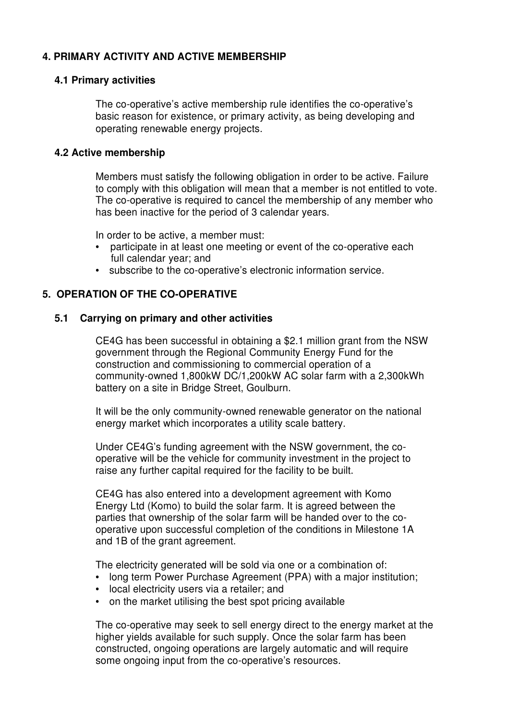#### **4. PRIMARY ACTIVITY AND ACTIVE MEMBERSHIP**

#### **4.1 Primary activities**

The co-operative's active membership rule identifies the co-operative's basic reason for existence, or primary activity, as being developing and operating renewable energy projects.

#### **4.2 Active membership**

Members must satisfy the following obligation in order to be active. Failure to comply with this obligation will mean that a member is not entitled to vote. The co-operative is required to cancel the membership of any member who has been inactive for the period of 3 calendar years.

In order to be active, a member must:

- participate in at least one meeting or event of the co-operative each full calendar year; and
- subscribe to the co-operative's electronic information service.

#### **5. OPERATION OF THE CO-OPERATIVE**

#### **5.1 Carrying on primary and other activities**

CE4G has been successful in obtaining a \$2.1 million grant from the NSW government through the Regional Community Energy Fund for the construction and commissioning to commercial operation of a community-owned 1,800kW DC/1,200kW AC solar farm with a 2,300kWh battery on a site in Bridge Street, Goulburn.

It will be the only community-owned renewable generator on the national energy market which incorporates a utility scale battery.

Under CE4G's funding agreement with the NSW government, the cooperative will be the vehicle for community investment in the project to raise any further capital required for the facility to be built.

CE4G has also entered into a development agreement with Komo Energy Ltd (Komo) to build the solar farm. It is agreed between the parties that ownership of the solar farm will be handed over to the cooperative upon successful completion of the conditions in Milestone 1A and 1B of the grant agreement.

The electricity generated will be sold via one or a combination of:

- Iong term Power Purchase Agreement (PPA) with a major institution;
- local electricity users via a retailer; and
- on the market utilising the best spot pricing available

The co-operative may seek to sell energy direct to the energy market at the higher yields available for such supply. Once the solar farm has been constructed, ongoing operations are largely automatic and will require some ongoing input from the co-operative's resources.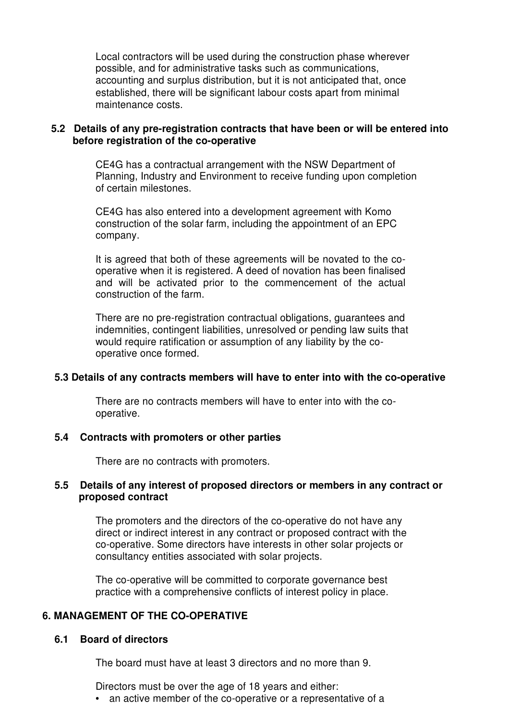Local contractors will be used during the construction phase wherever possible, and for administrative tasks such as communications, accounting and surplus distribution, but it is not anticipated that, once established, there will be significant labour costs apart from minimal maintenance costs.

#### **5.2 Details of any pre-registration contracts that have been or will be entered into before registration of the co-operative**

CE4G has a contractual arrangement with the NSW Department of Planning, Industry and Environment to receive funding upon completion of certain milestones.

CE4G has also entered into a development agreement with Komo construction of the solar farm, including the appointment of an EPC company.

It is agreed that both of these agreements will be novated to the cooperative when it is registered. A deed of novation has been finalised and will be activated prior to the commencement of the actual construction of the farm.

There are no pre-registration contractual obligations, guarantees and indemnities, contingent liabilities, unresolved or pending law suits that would require ratification or assumption of any liability by the cooperative once formed.

#### **5.3 Details of any contracts members will have to enter into with the co-operative**

There are no contracts members will have to enter into with the cooperative.

#### **5.4 Contracts with promoters or other parties**

There are no contracts with promoters.

#### **5.5 Details of any interest of proposed directors or members in any contract or proposed contract**

The promoters and the directors of the co-operative do not have any direct or indirect interest in any contract or proposed contract with the co-operative. Some directors have interests in other solar projects or consultancy entities associated with solar projects.

The co-operative will be committed to corporate governance best practice with a comprehensive conflicts of interest policy in place.

#### **6. MANAGEMENT OF THE CO-OPERATIVE**

#### **6.1 Board of directors**

The board must have at least 3 directors and no more than 9.

Directors must be over the age of 18 years and either:

• an active member of the co-operative or a representative of a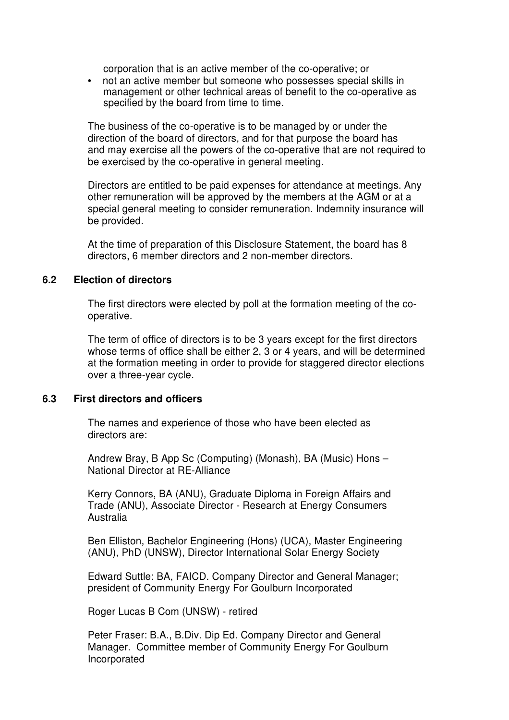corporation that is an active member of the co-operative; or

• not an active member but someone who possesses special skills in management or other technical areas of benefit to the co-operative as specified by the board from time to time.

The business of the co-operative is to be managed by or under the direction of the board of directors, and for that purpose the board has and may exercise all the powers of the co-operative that are not required to be exercised by the co-operative in general meeting.

Directors are entitled to be paid expenses for attendance at meetings. Any other remuneration will be approved by the members at the AGM or at a special general meeting to consider remuneration. Indemnity insurance will be provided.

At the time of preparation of this Disclosure Statement, the board has 8 directors, 6 member directors and 2 non-member directors.

#### **6.2 Election of directors**

The first directors were elected by poll at the formation meeting of the cooperative.

The term of office of directors is to be 3 years except for the first directors whose terms of office shall be either 2, 3 or 4 years, and will be determined at the formation meeting in order to provide for staggered director elections over a three-year cycle.

#### **6.3 First directors and officers**

The names and experience of those who have been elected as directors are:

Andrew Bray, B App Sc (Computing) (Monash), BA (Music) Hons – National Director at RE-Alliance

Kerry Connors, BA (ANU), Graduate Diploma in Foreign Affairs and Trade (ANU), Associate Director - Research at Energy Consumers Australia

Ben Elliston, Bachelor Engineering (Hons) (UCA), Master Engineering (ANU), PhD (UNSW), Director International Solar Energy Society

Edward Suttle: BA, FAICD. Company Director and General Manager; president of Community Energy For Goulburn Incorporated

Roger Lucas B Com (UNSW) - retired

Peter Fraser: B.A., B.Div. Dip Ed. Company Director and General Manager. Committee member of Community Energy For Goulburn Incorporated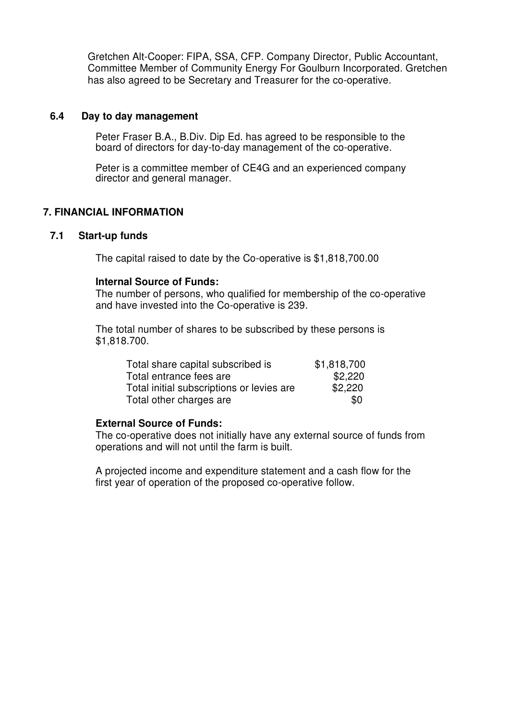Gretchen Alt-Cooper: FIPA, SSA, CFP. Company Director, Public Accountant, Committee Member of Community Energy For Goulburn Incorporated. Gretchen has also agreed to be Secretary and Treasurer for the co-operative.

#### **6.4 Day to day management**

Peter Fraser B.A., B.Div. Dip Ed. has agreed to be responsible to the board of directors for day-to-day management of the co-operative.

Peter is a committee member of CE4G and an experienced company director and general manager.

#### **7. FINANCIAL INFORMATION**

#### **7.1 Start-up funds**

The capital raised to date by the Co-operative is \$1,818,700.00

#### **Internal Source of Funds:**

The number of persons, who qualified for membership of the co-operative and have invested into the Co-operative is 239.

The total number of shares to be subscribed by these persons is \$1,818.700.

| Total share capital subscribed is         | \$1,818,700 |
|-------------------------------------------|-------------|
| Total entrance fees are                   | \$2,220     |
| Total initial subscriptions or levies are | \$2,220     |
| Total other charges are                   | \$0         |

#### **External Source of Funds:**

The co-operative does not initially have any external source of funds from operations and will not until the farm is built.

A projected income and expenditure statement and a cash flow for the first year of operation of the proposed co-operative follow.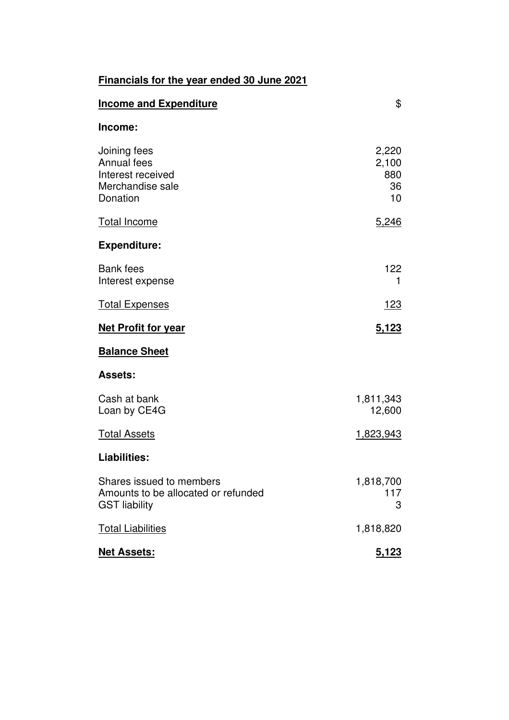| Financials for the year ended 30 June 2021 |
|--------------------------------------------|
|--------------------------------------------|

| <b>Income and Expenditure</b>                                                           | \$                                |
|-----------------------------------------------------------------------------------------|-----------------------------------|
| Income:                                                                                 |                                   |
| Joining fees<br>Annual fees<br>Interest received<br>Merchandise sale<br>Donation        | 2,220<br>2,100<br>880<br>36<br>10 |
| <b>Total Income</b>                                                                     | 5,246                             |
| <b>Expenditure:</b>                                                                     |                                   |
| <b>Bank</b> fees<br>Interest expense                                                    | 122<br>1                          |
| <b>Total Expenses</b>                                                                   | <u> 123</u>                       |
| <b>Net Profit for year</b>                                                              | 5,123                             |
| <b>Balance Sheet</b>                                                                    |                                   |
| <b>Assets:</b>                                                                          |                                   |
| Cash at bank<br>Loan by CE4G                                                            | 1,811,343<br>12,600               |
| <b>Total Assets</b>                                                                     | 1,823,943                         |
| <b>Liabilities:</b>                                                                     |                                   |
| Shares issued to members<br>Amounts to be allocated or refunded<br><b>GST liability</b> | 1,818,700<br>117<br>3             |
| <b>Total Liabilities</b>                                                                | 1,818,820                         |
| <b>Net Assets:</b>                                                                      | 5,123                             |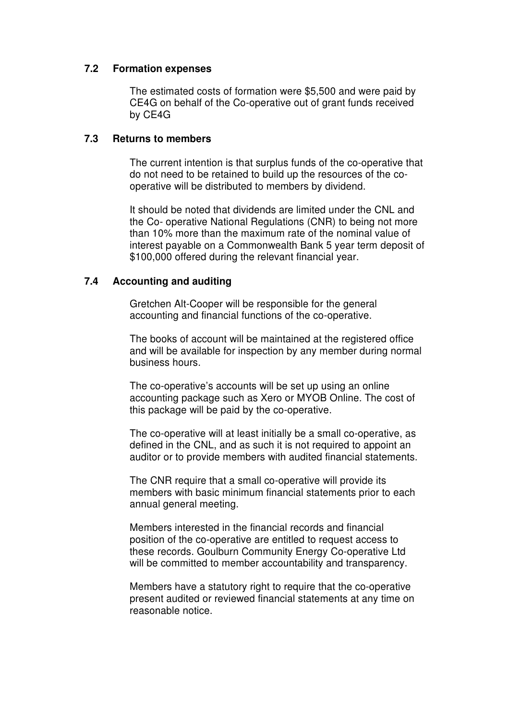#### **7.2 Formation expenses**

The estimated costs of formation were \$5,500 and were paid by CE4G on behalf of the Co-operative out of grant funds received by CE4G

#### **7.3 Returns to members**

The current intention is that surplus funds of the co-operative that do not need to be retained to build up the resources of the cooperative will be distributed to members by dividend.

It should be noted that dividends are limited under the CNL and the Co- operative National Regulations (CNR) to being not more than 10% more than the maximum rate of the nominal value of interest payable on a Commonwealth Bank 5 year term deposit of \$100,000 offered during the relevant financial year.

#### **7.4 Accounting and auditing**

Gretchen Alt-Cooper will be responsible for the general accounting and financial functions of the co-operative.

The books of account will be maintained at the registered office and will be available for inspection by any member during normal business hours.

The co-operative's accounts will be set up using an online accounting package such as Xero or MYOB Online. The cost of this package will be paid by the co-operative.

The co-operative will at least initially be a small co-operative, as defined in the CNL, and as such it is not required to appoint an auditor or to provide members with audited financial statements.

The CNR require that a small co-operative will provide its members with basic minimum financial statements prior to each annual general meeting.

Members interested in the financial records and financial position of the co-operative are entitled to request access to these records. Goulburn Community Energy Co-operative Ltd will be committed to member accountability and transparency.

Members have a statutory right to require that the co-operative present audited or reviewed financial statements at any time on reasonable notice.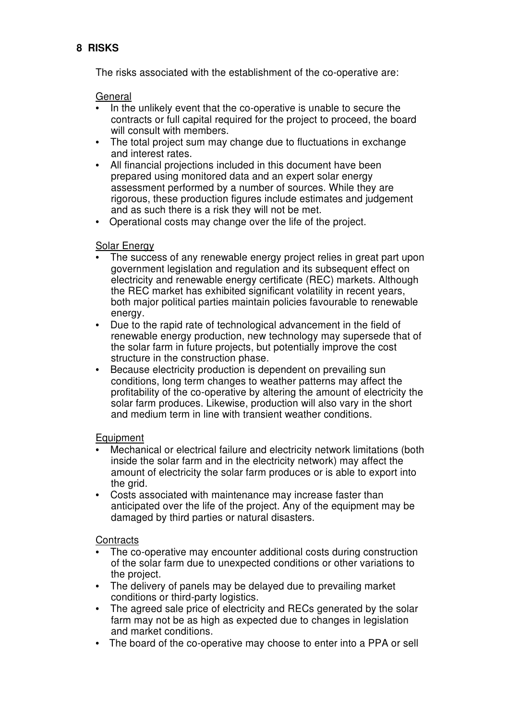#### **8 RISKS**

The risks associated with the establishment of the co-operative are:

#### General

- In the unlikely event that the co-operative is unable to secure the contracts or full capital required for the project to proceed, the board will consult with members.
- The total project sum may change due to fluctuations in exchange and interest rates.
- All financial projections included in this document have been prepared using monitored data and an expert solar energy assessment performed by a number of sources. While they are rigorous, these production figures include estimates and judgement and as such there is a risk they will not be met.
- Operational costs may change over the life of the project.

#### **Solar Energy**

- The success of any renewable energy project relies in great part upon government legislation and regulation and its subsequent effect on electricity and renewable energy certificate (REC) markets. Although the REC market has exhibited significant volatility in recent years, both major political parties maintain policies favourable to renewable energy.
- Due to the rapid rate of technological advancement in the field of renewable energy production, new technology may supersede that of the solar farm in future projects, but potentially improve the cost structure in the construction phase.
- Because electricity production is dependent on prevailing sun conditions, long term changes to weather patterns may affect the profitability of the co-operative by altering the amount of electricity the solar farm produces. Likewise, production will also vary in the short and medium term in line with transient weather conditions.

#### Equipment

- Mechanical or electrical failure and electricity network limitations (both inside the solar farm and in the electricity network) may affect the amount of electricity the solar farm produces or is able to export into the arid.
- Costs associated with maintenance may increase faster than anticipated over the life of the project. Any of the equipment may be damaged by third parties or natural disasters.

#### **Contracts**

- The co-operative may encounter additional costs during construction of the solar farm due to unexpected conditions or other variations to the project.
- The delivery of panels may be delayed due to prevailing market conditions or third-party logistics.
- The agreed sale price of electricity and RECs generated by the solar farm may not be as high as expected due to changes in legislation and market conditions.
- The board of the co-operative may choose to enter into a PPA or sell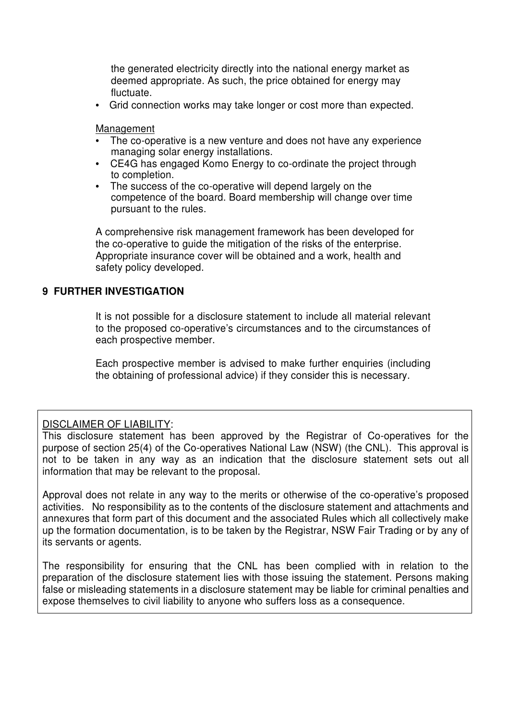the generated electricity directly into the national energy market as deemed appropriate. As such, the price obtained for energy may fluctuate.

• Grid connection works may take longer or cost more than expected.

Management

- The co-operative is a new venture and does not have any experience managing solar energy installations.
- CE4G has engaged Komo Energy to co-ordinate the project through to completion.
- The success of the co-operative will depend largely on the competence of the board. Board membership will change over time pursuant to the rules.

A comprehensive risk management framework has been developed for the co-operative to guide the mitigation of the risks of the enterprise. Appropriate insurance cover will be obtained and a work, health and safety policy developed.

#### **9 FURTHER INVESTIGATION**

It is not possible for a disclosure statement to include all material relevant to the proposed co-operative's circumstances and to the circumstances of each prospective member.

Each prospective member is advised to make further enquiries (including the obtaining of professional advice) if they consider this is necessary.

#### DISCLAIMER OF LIABILITY:

This disclosure statement has been approved by the Registrar of Co-operatives for the purpose of section 25(4) of the Co-operatives National Law (NSW) (the CNL). This approval is not to be taken in any way as an indication that the disclosure statement sets out all information that may be relevant to the proposal.

Approval does not relate in any way to the merits or otherwise of the co-operative's proposed activities. No responsibility as to the contents of the disclosure statement and attachments and annexures that form part of this document and the associated Rules which all collectively make up the formation documentation, is to be taken by the Registrar, NSW Fair Trading or by any of its servants or agents.

The responsibility for ensuring that the CNL has been complied with in relation to the preparation of the disclosure statement lies with those issuing the statement. Persons making false or misleading statements in a disclosure statement may be liable for criminal penalties and expose themselves to civil liability to anyone who suffers loss as a consequence.